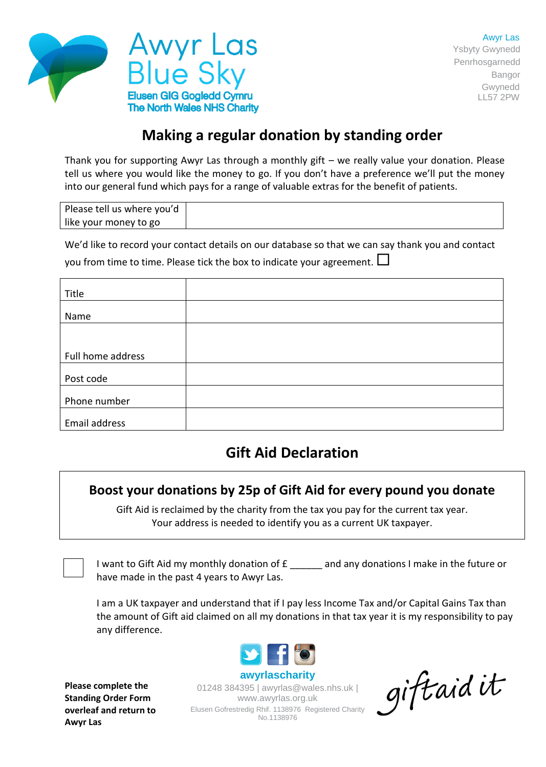

# **Making a regular donation by standing order**

Thank you for supporting Awyr Las through a monthly gift – we really value your donation. Please tell us where you would like the money to go. If you don't have a preference we'll put the money into our general fund which pays for a range of valuable extras for the benefit of patients.

| Please tell us where you'd |  |
|----------------------------|--|
| like your money to go      |  |

We'd like to record your contact details on our database so that we can say thank you and contact

you from time to time. Please tick the box to indicate your agreement.  $\square$ 

| Title             |  |
|-------------------|--|
|                   |  |
| Name              |  |
|                   |  |
| Full home address |  |
| Post code         |  |
| Phone number      |  |
| Email address     |  |

# **Gift Aid Declaration**

### **Boost your donations by 25p of Gift Aid for every pound you donate**

Gift Aid is reclaimed by the charity from the tax you pay for the current tax year. Your address is needed to identify you as a current UK taxpayer.

I want to Gift Aid my monthly donation of  $f_{\text{max}}$  and any donations I make in the future or have made in the past 4 years to Awyr Las.

I am a UK taxpayer and understand that if I pay less Income Tax and/or Capital Gains Tax than the amount of Gift aid claimed on all my donations in that tax year it is my responsibility to pay any difference.



**Please complete the Standing Order Form overleaf and return to Awyr Las**

01248 384395 | awyrlas@wales.nhs.uk | www.awyrlas.org.uk Elusen Gofrestredig Rhif. 1138976 Registered Charity No.1138976

giftaid it